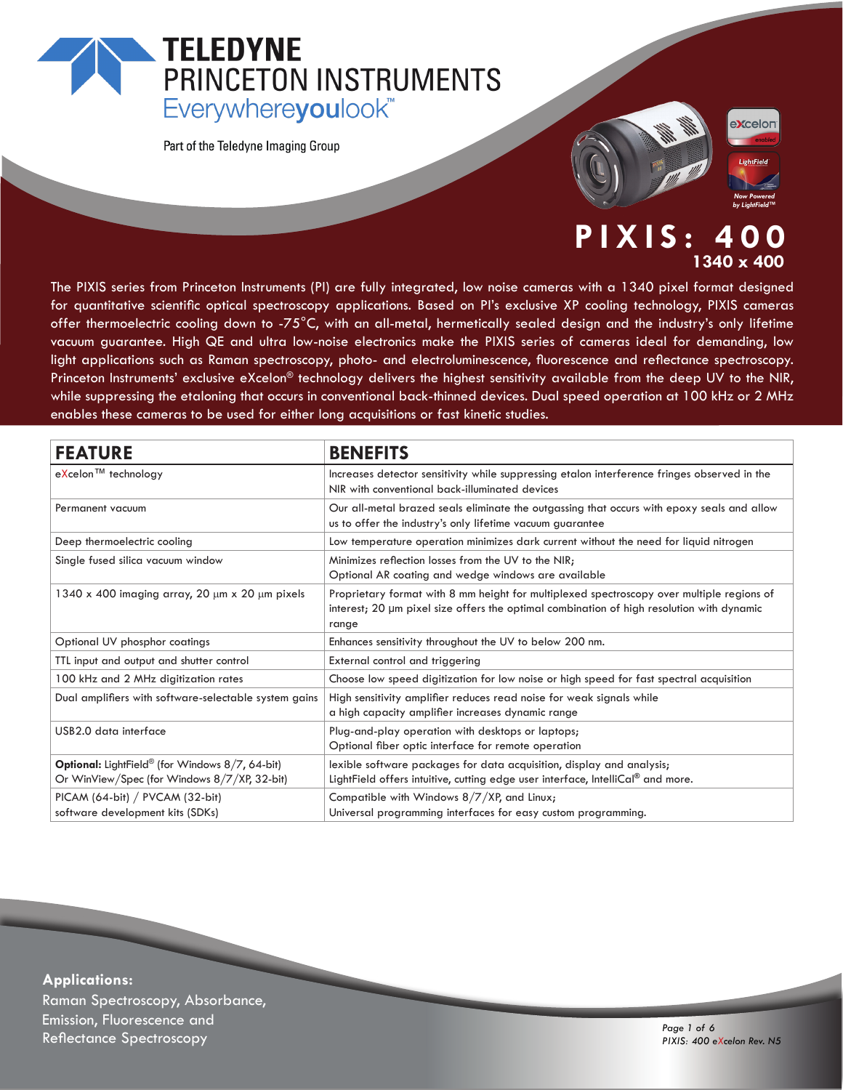# **TELEDYNE** PRINCETON INSTRUMENTS Everywhereyoulook<sup>"</sup>

Part of the Teledyne Imaging Group



# **PIXIS: 400 1340 x 400**

The PIXIS series from Princeton Instruments (PI) are fully integrated, low noise cameras with a 1340 pixel format designed for quantitative scientific optical spectroscopy applications. Based on PI's exclusive XP cooling technology, PIXIS cameras offer thermoelectric cooling down to -75°C, with an all-metal, hermetically sealed design and the industry's only lifetime vacuum guarantee. High QE and ultra low-noise electronics make the PIXIS series of cameras ideal for demanding, low light applications such as Raman spectroscopy, photo- and electroluminescence, fluorescence and reflectance spectroscopy. Princeton Instruments' exclusive eXcelon® technology delivers the highest sensitivity available from the deep UV to the NIR, while suppressing the etaloning that occurs in conventional back-thinned devices. Dual speed operation at 100 kHz or 2 MHz enables these cameras to be used for either long acquisitions or fast kinetic studies.

| <b>FEATURE</b>                                        | <b>BENEFITS</b>                                                                                                                                                                                 |
|-------------------------------------------------------|-------------------------------------------------------------------------------------------------------------------------------------------------------------------------------------------------|
| eXcelon™ technology                                   | Increases detector sensitivity while suppressing etalon interference fringes observed in the<br>NIR with conventional back-illuminated devices                                                  |
| Permanent vacuum                                      | Our all-metal brazed seals eliminate the outgassing that occurs with epoxy seals and allow<br>us to offer the industry's only lifetime vacuum guarantee                                         |
| Deep thermoelectric cooling                           | Low temperature operation minimizes dark current without the need for liquid nitrogen                                                                                                           |
| Single fused silica vacuum window                     | Minimizes reflection losses from the UV to the NIR;<br>Optional AR coating and wedge windows are available                                                                                      |
| 1340 x 400 imaging array, 20 µm x 20 µm pixels        | Proprietary format with 8 mm height for multiplexed spectroscopy over multiple regions of<br>interest; 20 µm pixel size offers the optimal combination of high resolution with dynamic<br>range |
| Optional UV phosphor coatings                         | Enhances sensitivity throughout the UV to below 200 nm.                                                                                                                                         |
| TTL input and output and shutter control              | External control and triggering                                                                                                                                                                 |
| 100 kHz and 2 MHz digitization rates                  | Choose low speed digitization for low noise or high speed for fast spectral acquisition                                                                                                         |
| Dual amplifiers with software-selectable system gains | High sensitivity amplifier reduces read noise for weak signals while<br>a high capacity amplifier increases dynamic range                                                                       |
| USB2.0 data interface                                 | Plug-and-play operation with desktops or laptops;<br>Optional fiber optic interface for remote operation                                                                                        |
| Optional: LightField® (for Windows 8/7, 64-bit)       | lexible software packages for data acquisition, display and analysis;                                                                                                                           |
| Or WinView/Spec (for Windows 8/7/XP, 32-bit)          | LightField offers intuitive, cutting edge user interface, IntelliCal <sup>®</sup> and more.                                                                                                     |
| PICAM (64-bit) / PVCAM (32-bit)                       | Compatible with Windows 8/7/XP, and Linux;                                                                                                                                                      |
| software development kits (SDKs)                      | Universal programming interfaces for easy custom programming.                                                                                                                                   |

**Applications:** Raman Spectroscopy, Absorbance, Emission, Fluorescence and د المستخدم المستخدم المستخدم المستخدم المستخدم المستخدم المستخدم المستخدم المستخدم المستخدم المستخدم المستخدم ا<br>1990 - Pixis: 400 e 1 of 6<br>1990 - Pixis: 400 e 101 of 6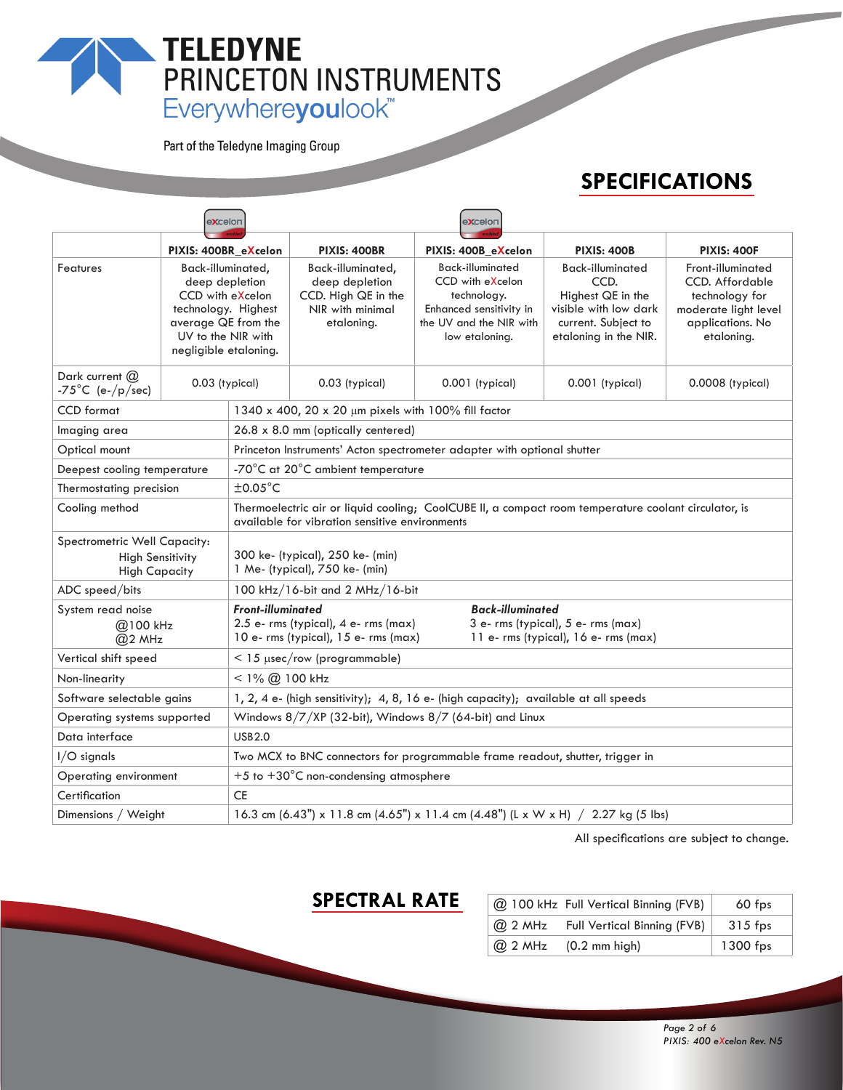# TELEDYNE<br>
PRINCETON INSTRUMENTS<br>
Everywhereyoulook"

Part of the Teledyne Imaging Group

# **SPECIFICATIONS**

|                                                                                 | excelon                                                                                                                                              |                                                                                     |                                                                                                                                                        | excelon                                                                                                                            |                                                                                                                               |                                                                                                                         |  |
|---------------------------------------------------------------------------------|------------------------------------------------------------------------------------------------------------------------------------------------------|-------------------------------------------------------------------------------------|--------------------------------------------------------------------------------------------------------------------------------------------------------|------------------------------------------------------------------------------------------------------------------------------------|-------------------------------------------------------------------------------------------------------------------------------|-------------------------------------------------------------------------------------------------------------------------|--|
|                                                                                 | PIXIS: 400BR_eXcelon                                                                                                                                 |                                                                                     | <b>PIXIS: 400BR</b>                                                                                                                                    | PIXIS: 400B_eXcelon                                                                                                                | <b>PIXIS: 400B</b>                                                                                                            | <b>PIXIS: 400F</b>                                                                                                      |  |
| Features                                                                        | Back-illuminated,<br>deep depletion<br>CCD with eXcelon<br>technology. Highest<br>average QE from the<br>UV to the NIR with<br>negligible etaloning. |                                                                                     | Back-illuminated,<br>deep depletion<br>CCD. High QE in the<br>NIR with minimal<br>etaloning.                                                           | <b>Back-illuminated</b><br>CCD with eXcelon<br>technology.<br>Enhanced sensitivity in<br>the UV and the NIR with<br>low etaloning. | <b>Back-illuminated</b><br>CCD.<br>Highest QE in the<br>visible with low dark<br>current. Subject to<br>etaloning in the NIR. | Front-illuminated<br><b>CCD.</b> Affordable<br>technology for<br>moderate light level<br>applications. No<br>etaloning. |  |
| Dark current $(2)$<br>-75°C (e-/p/sec)                                          | 0.03 (typical)                                                                                                                                       |                                                                                     | 0.03 (typical)                                                                                                                                         | 0.001 (typical)                                                                                                                    | 0.001 (typical)                                                                                                               | 0.0008 (typical)                                                                                                        |  |
| <b>CCD</b> format                                                               |                                                                                                                                                      |                                                                                     | 1340 x 400, 20 x 20 µm pixels with 100% fill factor                                                                                                    |                                                                                                                                    |                                                                                                                               |                                                                                                                         |  |
| Imaging area                                                                    |                                                                                                                                                      | 26.8 x 8.0 mm (optically centered)                                                  |                                                                                                                                                        |                                                                                                                                    |                                                                                                                               |                                                                                                                         |  |
| Optical mount                                                                   |                                                                                                                                                      |                                                                                     | Princeton Instruments' Acton spectrometer adapter with optional shutter                                                                                |                                                                                                                                    |                                                                                                                               |                                                                                                                         |  |
|                                                                                 | Deepest cooling temperature                                                                                                                          |                                                                                     | -70°C at 20°C ambient temperature                                                                                                                      |                                                                                                                                    |                                                                                                                               |                                                                                                                         |  |
| Thermostating precision                                                         |                                                                                                                                                      | $\pm$ 0.05 $^{\circ}$ C                                                             |                                                                                                                                                        |                                                                                                                                    |                                                                                                                               |                                                                                                                         |  |
| Cooling method                                                                  |                                                                                                                                                      |                                                                                     | Thermoelectric air or liquid cooling; CoolCUBE II, a compact room temperature coolant circulator, is<br>available for vibration sensitive environments |                                                                                                                                    |                                                                                                                               |                                                                                                                         |  |
| Spectrometric Well Capacity:<br><b>High Sensitivity</b><br><b>High Capacity</b> | 300 ke- (typical), 250 ke- (min)<br>1 Me- (typical), 750 ke- (min)                                                                                   |                                                                                     |                                                                                                                                                        |                                                                                                                                    |                                                                                                                               |                                                                                                                         |  |
| ADC speed/bits                                                                  |                                                                                                                                                      | 100 kHz/16-bit and 2 MHz/16-bit                                                     |                                                                                                                                                        |                                                                                                                                    |                                                                                                                               |                                                                                                                         |  |
| System read noise                                                               | <b>Front-illuminated</b><br>@100 kHz<br>@2 MHz                                                                                                       |                                                                                     | 2.5 e- rms (typical), 4 e- rms (max)<br>10 e- rms (typical), 15 e- rms (max)                                                                           |                                                                                                                                    | <b>Back-illuminated</b><br>3 e- rms (typical), 5 e- rms (max)<br>11 e- rms (typical), 16 e- rms (max)                         |                                                                                                                         |  |
| Vertical shift speed                                                            |                                                                                                                                                      | $<$ 15 $\mu$ sec/row (programmable)                                                 |                                                                                                                                                        |                                                                                                                                    |                                                                                                                               |                                                                                                                         |  |
| Non-linearity                                                                   |                                                                                                                                                      | $<$ 1% $(2)$ 100 kHz                                                                |                                                                                                                                                        |                                                                                                                                    |                                                                                                                               |                                                                                                                         |  |
| Software selectable gains                                                       |                                                                                                                                                      | 1, 2, 4 e- (high sensitivity); 4, 8, 16 e- (high capacity); available at all speeds |                                                                                                                                                        |                                                                                                                                    |                                                                                                                               |                                                                                                                         |  |
| Operating systems supported                                                     |                                                                                                                                                      | Windows $8/7/XP$ (32-bit), Windows $8/7$ (64-bit) and Linux                         |                                                                                                                                                        |                                                                                                                                    |                                                                                                                               |                                                                                                                         |  |
| Data interface                                                                  |                                                                                                                                                      | <b>USB2.0</b>                                                                       |                                                                                                                                                        |                                                                                                                                    |                                                                                                                               |                                                                                                                         |  |
| $I/O$ signals                                                                   |                                                                                                                                                      | Two MCX to BNC connectors for programmable frame readout, shutter, trigger in       |                                                                                                                                                        |                                                                                                                                    |                                                                                                                               |                                                                                                                         |  |
| Operating environment                                                           |                                                                                                                                                      | $+5$ to $+30^{\circ}$ C non-condensing atmosphere                                   |                                                                                                                                                        |                                                                                                                                    |                                                                                                                               |                                                                                                                         |  |
| Certification                                                                   |                                                                                                                                                      | <b>CE</b>                                                                           |                                                                                                                                                        |                                                                                                                                    |                                                                                                                               |                                                                                                                         |  |
| Dimensions / Weight                                                             |                                                                                                                                                      | 16.3 cm (6.43") x 11.8 cm (4.65") x 11.4 cm (4.48") (L x W x H) $/$ 2.27 kg (5 lbs) |                                                                                                                                                        |                                                                                                                                    |                                                                                                                               |                                                                                                                         |  |

All specifications are subject to change.

## **SPECTRAL RATE**

| @ 100 kHz Full Vertical Binning (FVB)  | $60$ fps   |
|----------------------------------------|------------|
| @ 2 MHz Full Vertical Binning (FVB)    | $315$ fps  |
| $\omega$ 2 MHz $(0.2 \text{ mm high})$ | $1300$ fps |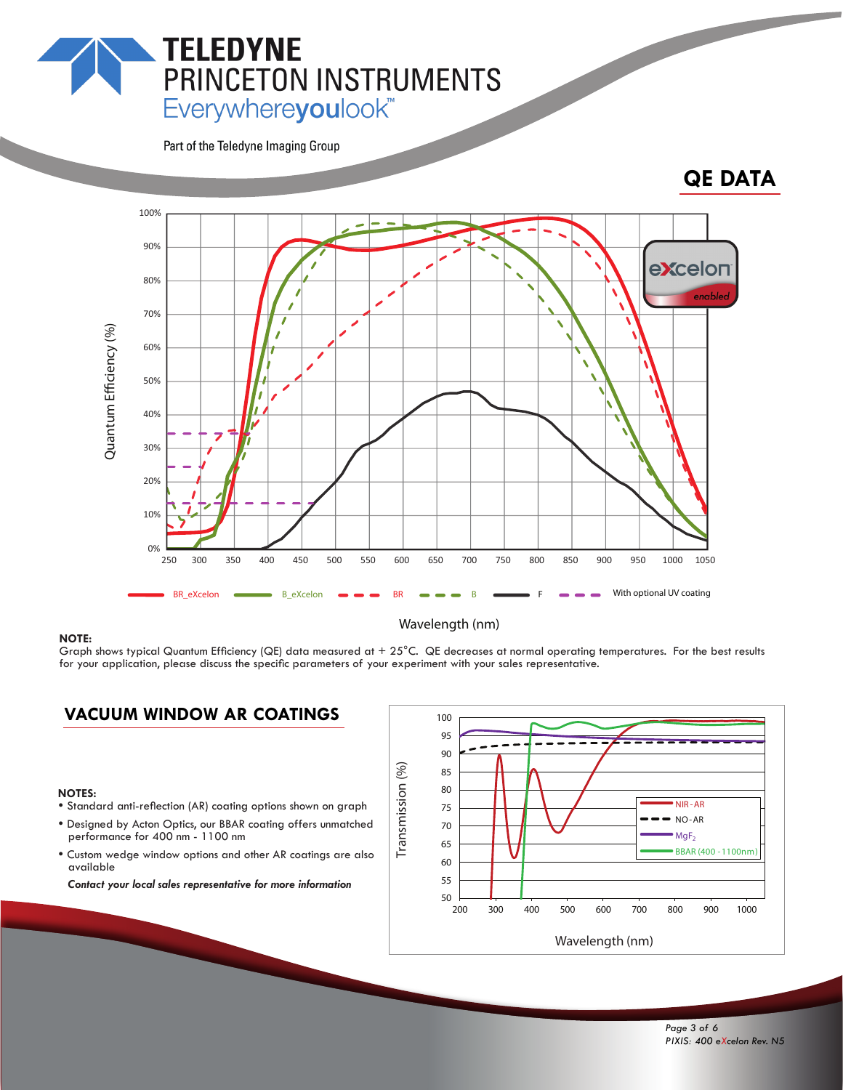# Everywhereyoulook<sup>"</sup>

PRINCETON INSTRUMENTS

Part of the Teledyne Imaging Group

**TELEDYNE** 

### **QE DATA**



#### Wavelength (nm)

**NOTE:**<br>Graph shows typical Quantum Efficiency (QE) data measured at + 25°C. QE decreases at normal operating temperatures. For the best results for your application, please discuss the specific parameters of your experiment with your sales representative.

#### **VACUUM WINDOW AR COATINGS**

#### **NOTES:**

- Standard anti-reflection (AR) coating options shown on graph
- Designed by Acton Optics, our BBAR coating offers unmatched performance for 400 nm - 1100 nm
- Custom wedge window options and other AR coatings are also available

 *Contact your local sales representative for more information*

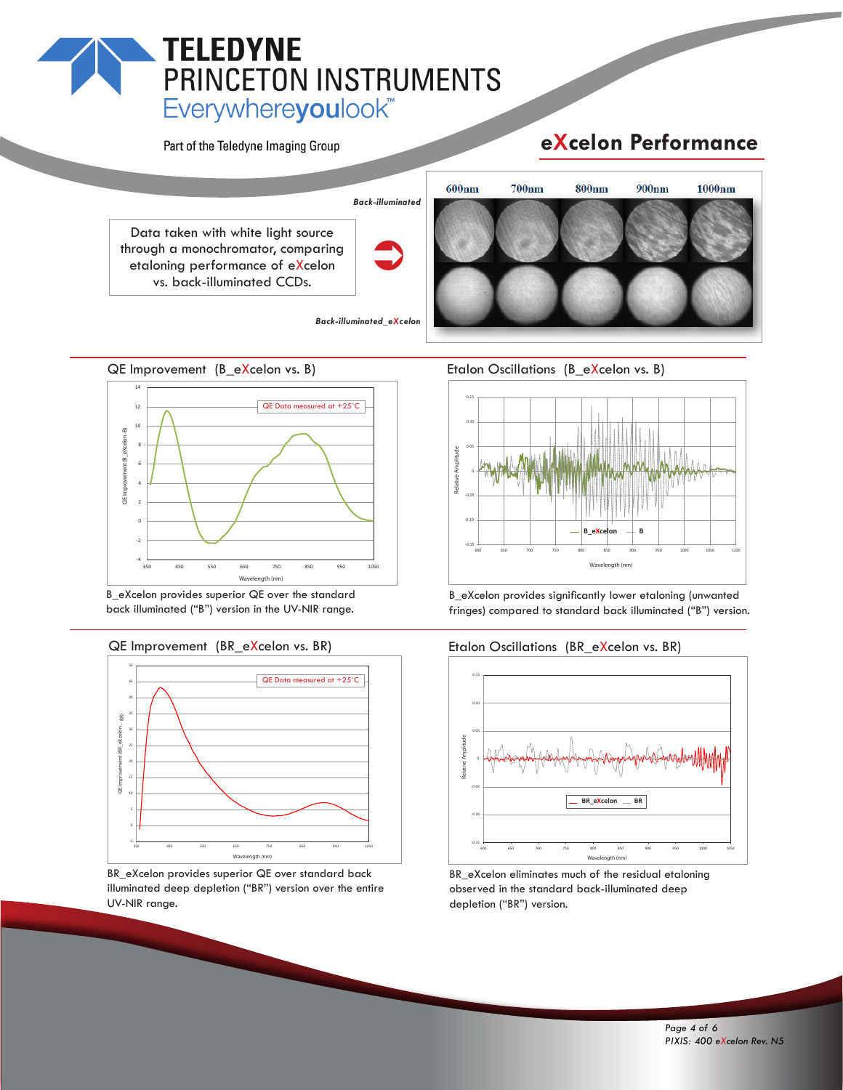# **TELEDYNE PRINCETON INSTRUMENTS**<br>Everywhereyoulook"

Part of the Teledyne Imaging Group

# **eXcelon Performance**





B\_eXcelon provides superior QE over the standard back illuminated ("B") version in the UV-NIR range.



BR\_eXcelon provides superior QE over standard back illuminated deep depletion ("BR") version over the entire UV-NIR range.

Etalon Oscillations (B\_eXcelon vs. B)



B\_eXcelon provides significantly lower etaloning (unwanted fringes) compared to standard back illuminated ("B") version.





BR\_eXcelon eliminates much of the residual etaloning observed in the standard back-illuminated deep depletion ("BR") version.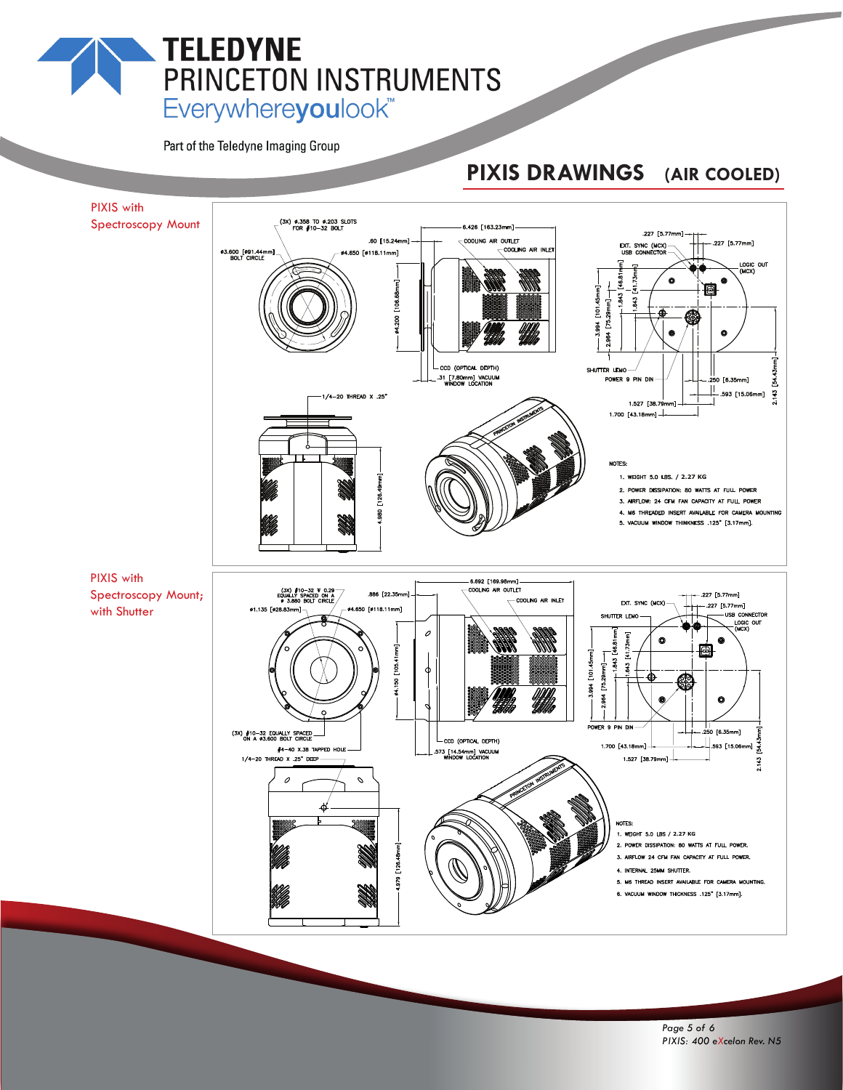# **TELEDYNE** PRINCETON INSTRUMENTS Everywhereyoulook<sup>"</sup>

Part of the Teledyne Imaging Group

# **PIXIS DRAWINGS (AIR COOLED)**